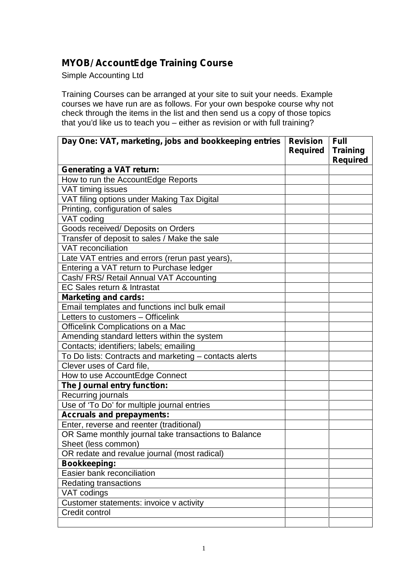## **MYOB/ AccountEdge Training Course**

Simple Accounting Ltd

Training Courses can be arranged at your site to suit your needs. Example courses we have run are as follows. For your own bespoke course why not check through the items in the list and then send us a copy of those topics that you'd like us to teach you – either as revision or with full training?

| Day One: VAT, marketing, jobs and bookkeeping entries  | <b>Revision</b><br><b>Required</b> | <b>Full</b><br><b>Training</b><br><b>Required</b> |
|--------------------------------------------------------|------------------------------------|---------------------------------------------------|
| <b>Generating a VAT return:</b>                        |                                    |                                                   |
| How to run the AccountEdge Reports                     |                                    |                                                   |
| VAT timing issues                                      |                                    |                                                   |
| VAT filing options under Making Tax Digital            |                                    |                                                   |
| Printing, configuration of sales                       |                                    |                                                   |
| VAT coding                                             |                                    |                                                   |
| Goods received/ Deposits on Orders                     |                                    |                                                   |
| Transfer of deposit to sales / Make the sale           |                                    |                                                   |
| <b>VAT</b> reconciliation                              |                                    |                                                   |
| Late VAT entries and errors (rerun past years),        |                                    |                                                   |
| Entering a VAT return to Purchase ledger               |                                    |                                                   |
| Cash/ FRS/ Retail Annual VAT Accounting                |                                    |                                                   |
| EC Sales return & Intrastat                            |                                    |                                                   |
| <b>Marketing and cards:</b>                            |                                    |                                                   |
| Email templates and functions incl bulk email          |                                    |                                                   |
| Letters to customers - Officelink                      |                                    |                                                   |
| Officelink Complications on a Mac                      |                                    |                                                   |
| Amending standard letters within the system            |                                    |                                                   |
| Contacts; identifiers; labels; emailing                |                                    |                                                   |
| To Do lists: Contracts and marketing - contacts alerts |                                    |                                                   |
| Clever uses of Card file,                              |                                    |                                                   |
| How to use AccountEdge Connect                         |                                    |                                                   |
| The Journal entry function:                            |                                    |                                                   |
| Recurring journals                                     |                                    |                                                   |
| Use of 'To Do' for multiple journal entries            |                                    |                                                   |
| <b>Accruals and prepayments:</b>                       |                                    |                                                   |
| Enter, reverse and reenter (traditional)               |                                    |                                                   |
| OR Same monthly journal take transactions to Balance   |                                    |                                                   |
| Sheet (less common)                                    |                                    |                                                   |
| OR redate and revalue journal (most radical)           |                                    |                                                   |
| <b>Bookkeeping:</b>                                    |                                    |                                                   |
| Easier bank reconciliation                             |                                    |                                                   |
| <b>Redating transactions</b>                           |                                    |                                                   |
| VAT codings                                            |                                    |                                                   |
| Customer statements: invoice v activity                |                                    |                                                   |
| Credit control                                         |                                    |                                                   |
|                                                        |                                    |                                                   |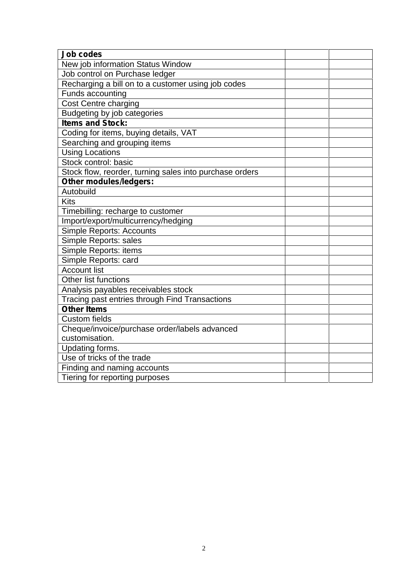| <b>Job codes</b>                                        |  |
|---------------------------------------------------------|--|
| New job information Status Window                       |  |
| Job control on Purchase ledger                          |  |
| Recharging a bill on to a customer using job codes      |  |
| Funds accounting                                        |  |
| Cost Centre charging                                    |  |
| Budgeting by job categories                             |  |
| <b>Items and Stock:</b>                                 |  |
| Coding for items, buying details, VAT                   |  |
| Searching and grouping items                            |  |
| <b>Using Locations</b>                                  |  |
| Stock control: basic                                    |  |
| Stock flow, reorder, turning sales into purchase orders |  |
| <b>Other modules/ledgers:</b>                           |  |
| Autobuild                                               |  |
| <b>Kits</b>                                             |  |
| Timebilling: recharge to customer                       |  |
| Import/export/multicurrency/hedging                     |  |
| <b>Simple Reports: Accounts</b>                         |  |
| Simple Reports: sales                                   |  |
| Simple Reports: items                                   |  |
| Simple Reports: card                                    |  |
| <b>Account list</b>                                     |  |
| <b>Other list functions</b>                             |  |
| Analysis payables receivables stock                     |  |
| Tracing past entries through Find Transactions          |  |
| <b>Other Items</b>                                      |  |
| <b>Custom fields</b>                                    |  |
| Cheque/invoice/purchase order/labels advanced           |  |
| customisation.                                          |  |
| Updating forms.                                         |  |
| Use of tricks of the trade                              |  |
| Finding and naming accounts                             |  |
| Tiering for reporting purposes                          |  |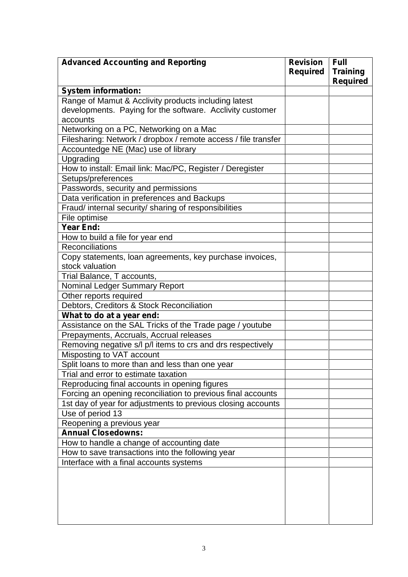| <b>Advanced Accounting and Reporting</b>                       | <b>Revision</b><br><b>Required</b> | <b>Full</b><br><b>Training</b><br><b>Required</b> |
|----------------------------------------------------------------|------------------------------------|---------------------------------------------------|
| <b>System information:</b>                                     |                                    |                                                   |
| Range of Mamut & Acclivity products including latest           |                                    |                                                   |
| developments. Paying for the software. Acclivity customer      |                                    |                                                   |
| accounts                                                       |                                    |                                                   |
| Networking on a PC, Networking on a Mac                        |                                    |                                                   |
| Filesharing: Network / dropbox / remote access / file transfer |                                    |                                                   |
| Accountedge NE (Mac) use of library                            |                                    |                                                   |
| Upgrading                                                      |                                    |                                                   |
| How to install: Email link: Mac/PC, Register / Deregister      |                                    |                                                   |
| Setups/preferences                                             |                                    |                                                   |
| Passwords, security and permissions                            |                                    |                                                   |
| Data verification in preferences and Backups                   |                                    |                                                   |
| Fraud/ internal security/ sharing of responsibilities          |                                    |                                                   |
| File optimise                                                  |                                    |                                                   |
| Year End:                                                      |                                    |                                                   |
| How to build a file for year end                               |                                    |                                                   |
| Reconciliations                                                |                                    |                                                   |
| Copy statements, loan agreements, key purchase invoices,       |                                    |                                                   |
| stock valuation                                                |                                    |                                                   |
| Trial Balance, T accounts,                                     |                                    |                                                   |
| <b>Nominal Ledger Summary Report</b>                           |                                    |                                                   |
| Other reports required                                         |                                    |                                                   |
| Debtors, Creditors & Stock Reconciliation                      |                                    |                                                   |
| What to do at a year end:                                      |                                    |                                                   |
| Assistance on the SAL Tricks of the Trade page / youtube       |                                    |                                                   |
| Prepayments, Accruals, Accrual releases                        |                                    |                                                   |
| Removing negative s/l p/l items to crs and drs respectively    |                                    |                                                   |
| Misposting to VAT account                                      |                                    |                                                   |
| Split loans to more than and less than one year                |                                    |                                                   |
| Trial and error to estimate taxation                           |                                    |                                                   |
| Reproducing final accounts in opening figures                  |                                    |                                                   |
| Forcing an opening reconciliation to previous final accounts   |                                    |                                                   |
| 1st day of year for adjustments to previous closing accounts   |                                    |                                                   |
| Use of period 13                                               |                                    |                                                   |
| Reopening a previous year                                      |                                    |                                                   |
| <b>Annual Closedowns:</b>                                      |                                    |                                                   |
| How to handle a change of accounting date                      |                                    |                                                   |
| How to save transactions into the following year               |                                    |                                                   |
| Interface with a final accounts systems                        |                                    |                                                   |
|                                                                |                                    |                                                   |
|                                                                |                                    |                                                   |
|                                                                |                                    |                                                   |
|                                                                |                                    |                                                   |
|                                                                |                                    |                                                   |
|                                                                |                                    |                                                   |